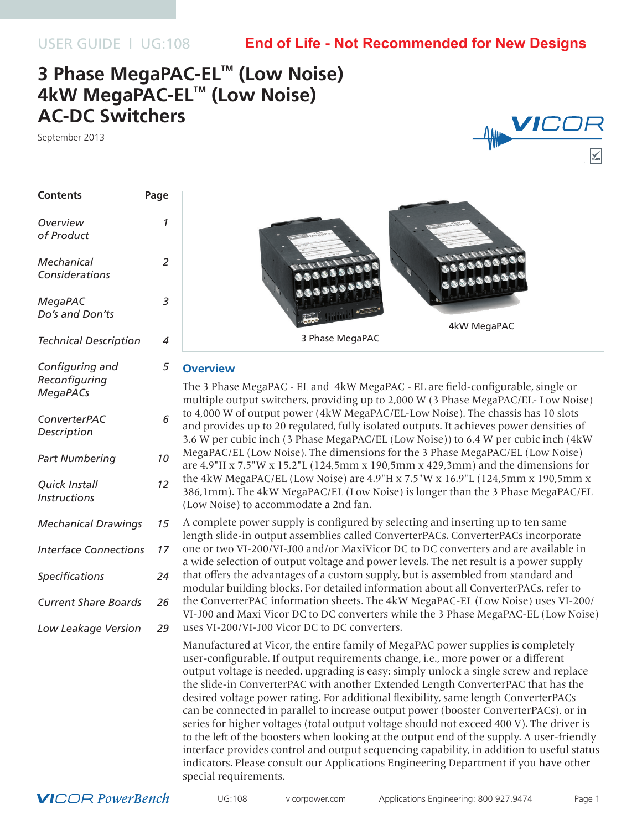USER GUIDE | UG:108

## **End of Life - Not Recommended for New Designs**

# **3 Phase MegaPAC-EL™ (Low Noise) 4kW MegaPAC-EL™ (Low Noise) AC-DC Switchers**

September 2013



| <b>Contents</b>                                     | Page           |                                             |
|-----------------------------------------------------|----------------|---------------------------------------------|
| Overview<br>of Product                              | 1              |                                             |
| Mechanical<br>Considerations                        | $\overline{a}$ |                                             |
| MegaPAC<br>Do's and Don'ts                          | 3              |                                             |
| <b>Technical Description</b>                        | 4              |                                             |
| Configuring and<br>Reconfiguring<br><b>MegaPACs</b> | 5              | <b>Over</b><br>The 3<br>multi               |
| ConverterPAC<br>Description                         | 6              | to $4,0$<br>and p<br>3.6 W                  |
| Part Numbering                                      | 10             | Mega<br>are 4.                              |
| Quick Install<br><b>Instructions</b>                | 12             | the 4l<br>386,1<br>(Low)                    |
| <b>Mechanical Drawings</b>                          | 15             | A con<br>length                             |
| <b>Interface Connections</b>                        | 17             | one o<br>a wid                              |
| <b>Specifications</b>                               | 24             | that o<br>modu                              |
| <b>Current Share Boards</b>                         | 26             | the Co<br>$VI-J0$                           |
| Low Leakage Version                                 | 29             | uses \                                      |
|                                                     |                | Manu<br>user-<br>outpu<br>the sli<br>desire |



## **view**

Phase MegaPAC - EL and 4kW MegaPAC - EL are field-configurable, single or ple output switchers, providing up to 2,000 W (3 Phase MegaPAC/EL- Low Noise) 00 W of output power (4kW MegaPAC/EL-Low Noise). The chassis has 10 slots rovides up to 20 regulated, fully isolated outputs. It achieves power densities of 3.6 W per cubic inch (3 Phase MegaPAC/EL (Low Noise)) to 6.4 W per cubic inch (4kW PAC/EL (Low Noise). The dimensions for the 3 Phase MegaPAC/EL (Low Noise) 9"H x 7.5"W x 15.2"L (124,5mm x 190,5mm x 429,3mm) and the dimensions for kW MegaPAC/EL (Low Noise) are  $4.9"$ H x  $7.5"$ W x  $16.9"$ L (124,5mm x 190,5mm x mm). The 4kW MegaPAC/EL (Low Noise) is longer than the 3 Phase MegaPAC/EL Noise) to accommodate a 2nd fan.

nplete power supply is configured by selecting and inserting up to ten same h slide-in output assemblies called ConverterPACs. ConverterPACs incorporate r two VI-200/VI-J00 and/or MaxiVicor DC to DC converters and are available in e selection of output voltage and power levels. The net result is a power supply offers the advantages of a custom supply, but is assembled from standard and llar building blocks. For detailed information about all ConverterPACs, refer to the ConverterPAC information sheets. The 4kW MegaPAC-EL (Low Noise) uses VI-200/ 0 and Maxi Vicor DC to DC converters while the 3 Phase MegaPAC-EL (Low Noise) VI-200/VI-J00 Vicor DC to DC converters.

factured at Vicor, the entire family of MegaPAC power supplies is completely configurable. If output requirements change, i.e., more power or a different it voltage is needed, upgrading is easy: simply unlock a single screw and replace ide-in ConverterPAC with another Extended Length ConverterPAC that has the desired voltage power rating. For additional flexibility, same length ConverterPACs can be connected in parallel to increase output power (booster ConverterPACs), or in series for higher voltages (total output voltage should not exceed 400 V). The driver is to the left of the boosters when looking at the output end of the supply. A user-friendly interface provides control and output sequencing capability, in addition to useful status indicators. Please consult our Applications Engineering Department if you have other special requirements.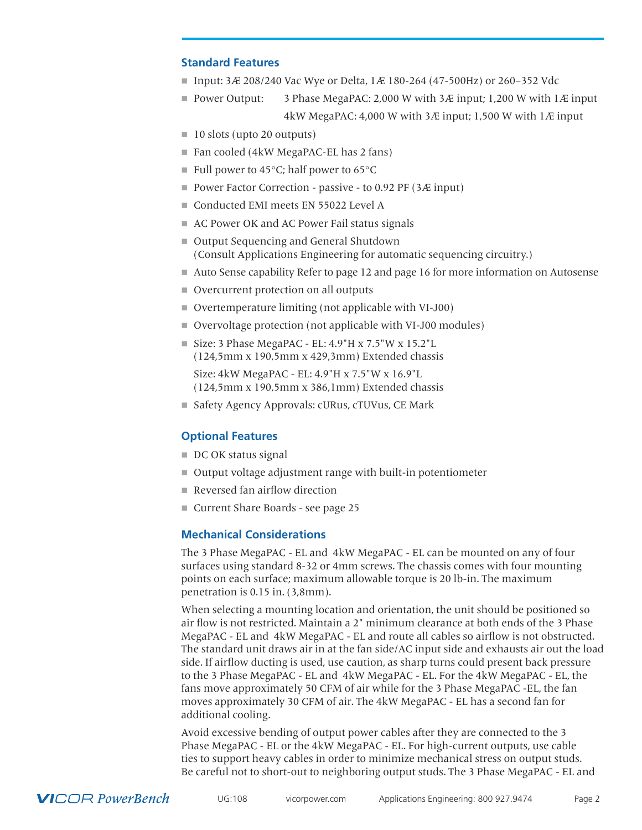## <span id="page-1-0"></span>**Standard Features**

- Input: 3Æ 208/240 Vac Wye or Delta, 1Æ 180-264 (47-500Hz) or 260-352 Vdc
- **Power Output:** 3 Phase MegaPAC: 2,000 W with 3 $\overline{A}$  input; 1,200 W with 1 $\overline{A}$  input 4kW MegaPAC: 4,000 W with 3Æ input; 1,500 W with 1Æ input
- $\blacksquare$  10 slots (upto 20 outputs)
- $\blacksquare$  Fan cooled (4kW MegaPAC-EL has 2 fans)
- $\blacksquare$  Full power to 45 $\degree$ C; half power to 65 $\degree$ C
- Power Factor Correction passive to 0.92 PF ( $3E$  input)
- Conducted EMI meets EN 55022 Level A
- AC Power OK and AC Power Fail status signals
- Output Sequencing and General Shutdown (Consult Applications Engineering for automatic sequencing circuitry.)
- n Auto Sense capability Refer to page 12 and page 16 for more information on Autosense
- Overcurrent protection on all outputs
- Overtemperature limiting (not applicable with VI-J00)
- Overvoltage protection (not applicable with VI-J00 modules)
- $\blacksquare$  Size: 3 Phase MegaPAC EL: 4.9"H x 7.5"W x 15.2"L (124,5mm x 190,5mm x 429,3mm) Extended chassis

Size: 4kW MegaPAC - EL: 4.9"H x 7.5"W x 16.9"L (124,5mm x 190,5mm x 386,1mm) Extended chassis

■ Safety Agency Approvals: cURus, cTUVus, CE Mark

## **Optional Features**

- DC OK status signal
- Output voltage adjustment range with built-in potentiometer
- $\blacksquare$  Reversed fan airflow direction
- Current Share Boards see page 25

## **Mechanical Considerations**

The 3 Phase MegaPAC - EL and 4kW MegaPAC - EL can be mounted on any of four surfaces using standard 8-32 or 4mm screws. The chassis comes with four mounting points on each surface; maximum allowable torque is 20 lb-in. The maximum penetration is 0.15 in. (3,8mm).

When selecting a mounting location and orientation, the unit should be positioned so air flow is not restricted. Maintain a 2" minimum clearance at both ends of the 3 Phase MegaPAC - EL and 4kW MegaPAC - EL and route all cables so airflow is not obstructed. The standard unit draws air in at the fan side/AC input side and exhausts air out the load side. If airflow ducting is used, use caution, as sharp turns could present back pressure to the 3 Phase MegaPAC - EL and 4kW MegaPAC - EL. For the 4kW MegaPAC - EL, the fans move approximately 50 CFM of air while for the 3 Phase MegaPAC -EL, the fan moves approximately 30 CFM of air. The 4kW MegaPAC - EL has a second fan for additional cooling.

Avoid excessive bending of output power cables after they are connected to the 3 Phase MegaPAC - EL or the 4kW MegaPAC - EL. For high-current outputs, use cable ties to support heavy cables in order to minimize mechanical stress on output studs. Be careful not to short-out to neighboring output studs. The 3 Phase MegaPAC - EL and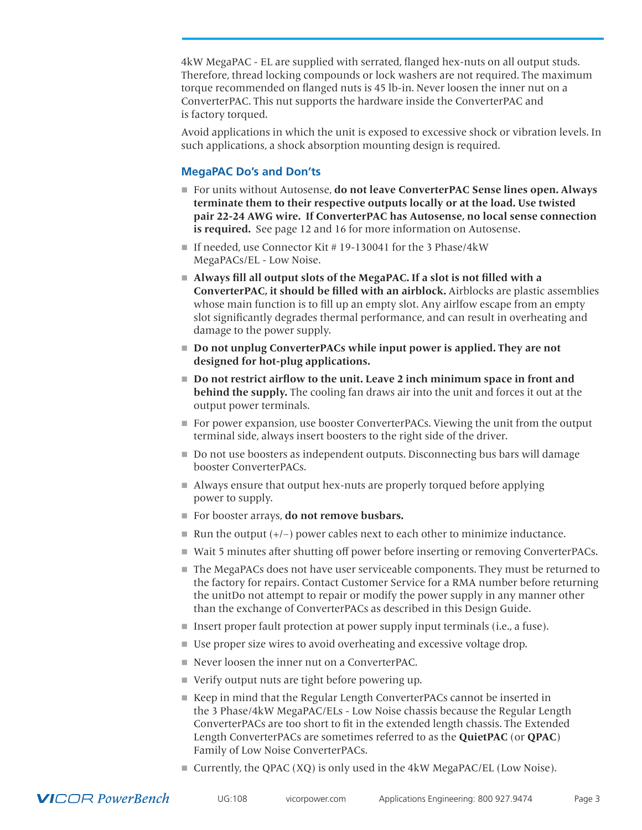<span id="page-2-0"></span>4kW MegaPAC - EL are supplied with serrated, flanged hex-nuts on all output studs. Therefore, thread locking compounds or lock washers are not required. The maximum torque recommended on flanged nuts is 45 lb-in. Never loosen the inner nut on a ConverterPAC. This nut supports the hardware inside the ConverterPAC and is factory torqued.

Avoid applications in which the unit is exposed to excessive shock or vibration levels. In such applications, a shock absorption mounting design is required.

## **MegaPAC Do's and Don'ts**

- For units without Autosense, **do not leave ConverterPAC Sense lines open. Always terminate them to their respective outputs locally or at the load. Use twisted pair 22-24 AWG wire. If ConverterPAC has Autosense, no local sense connection is required.** See page 12 and 16 for more information on Autosense.
- If needed, use Connector Kit # 19-130041 for the 3 Phase/4kW MegaPACs/EL - Low Noise.
- Always fill all output slots of the MegaPAC. If a slot is not filled with a **ConverterPAC, it should be filled with an airblock.** Airblocks are plastic assemblies whose main function is to fill up an empty slot. Any airlfow escape from an empty slot significantly degrades thermal performance, and can result in overheating and damage to the power supply.
- **Do not unplug ConverterPACs while input power is applied. They are not designed for hot-plug applications.**
- n **Do not restrict airflow to the unit. Leave 2 inch minimum space in front and behind the supply.** The cooling fan draws air into the unit and forces it out at the output power terminals.
- $\blacksquare$  For power expansion, use booster ConverterPACs. Viewing the unit from the output terminal side, always insert boosters to the right side of the driver.
- $\Box$  Do not use boosters as independent outputs. Disconnecting bus bars will damage booster ConverterPACs.
- $\blacksquare$  Always ensure that output hex-nuts are properly torqued before applying power to supply.
- For booster arrays, **do not remove busbars.**
- $\blacksquare$  Run the output (+/-) power cables next to each other to minimize inductance.
- Wait 5 minutes after shutting off power before inserting or removing ConverterPACs.
- $\blacksquare$  The MegaPACs does not have user serviceable components. They must be returned to the factory for repairs. Contact Customer Service for a RMA number before returning the unitDo not attempt to repair or modify the power supply in any manner other than the exchange of ConverterPACs as described in this Design Guide.
- Insert proper fault protection at power supply input terminals (i.e., a fuse).
- Use proper size wires to avoid overheating and excessive voltage drop.
- $\blacksquare$  Never loosen the inner nut on a ConverterPAC.
- verify output nuts are tight before powering up.
- Keep in mind that the Regular Length ConverterPACs cannot be inserted in the 3 Phase/4kW MegaPAC/ELs - Low Noise chassis because the Regular Length ConverterPACs are too short to fit in the extended length chassis. The Extended Length ConverterPACs are sometimes referred to as the **QuietPAC** (or **QPAC**) Family of Low Noise ConverterPACs.
- $\blacksquare$  Currently, the QPAC (XQ) is only used in the 4kW MegaPAC/EL (Low Noise).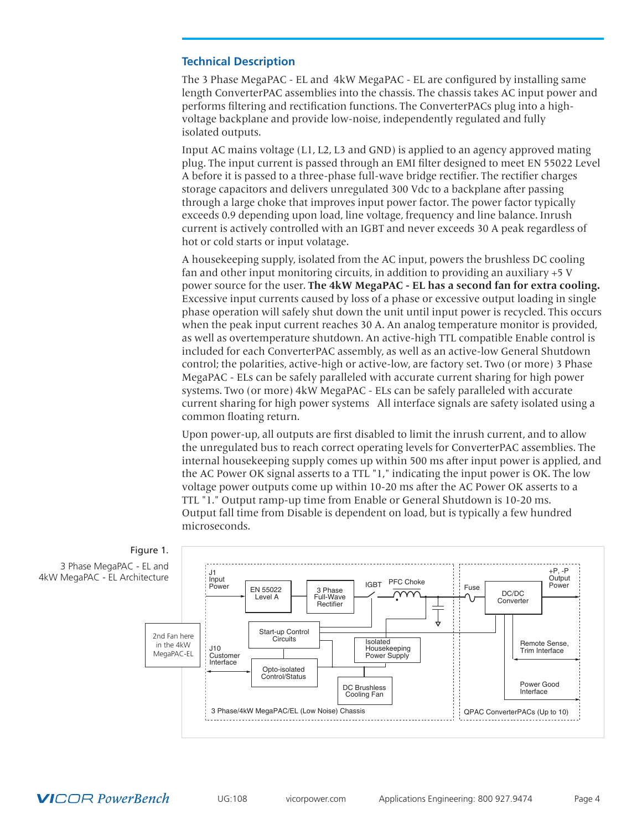## <span id="page-3-0"></span>**Technical Description**

The 3 Phase MegaPAC - EL and 4kW MegaPAC - EL are configured by installing same length ConverterPAC assemblies into the chassis. The chassis takes AC input power and performs filtering and rectification functions. The ConverterPACs plug into a highvoltage backplane and provide low-noise, independently regulated and fully isolated outputs.

Input AC mains voltage (L1, L2, L3 and GND) is applied to an agency approved mating plug. The input current is passed through an EMI filter designed to meet EN 55022 Level A before it is passed to a three-phase full-wave bridge rectifier. The rectifier charges storage capacitors and delivers unregulated 300 Vdc to a backplane after passing through a large choke that improves input power factor. The power factor typically exceeds 0.9 depending upon load, line voltage, frequency and line balance. Inrush current is actively controlled with an IGBT and never exceeds 30 A peak regardless of hot or cold starts or input volatage.

A housekeeping supply, isolated from the AC input, powers the brushless DC cooling fan and other input monitoring circuits, in addition to providing an auxiliary +5 V power source for the user. **The 4kW MegaPAC - EL has a second fan for extra cooling.** Excessive input currents caused by loss of a phase or excessive output loading in single phase operation will safely shut down the unit until input power is recycled. This occurs when the peak input current reaches 30 A. An analog temperature monitor is provided, as well as overtemperature shutdown. An active-high TTL compatible Enable control is included for each ConverterPAC assembly, as well as an active-low General Shutdown control; the polarities, active-high or active-low, are factory set. Two (or more) 3 Phase MegaPAC - ELs can be safely paralleled with accurate current sharing for high power systems. Two (or more) 4kW MegaPAC - ELs can be safely paralleled with accurate current sharing for high power systems All interface signals are safety isolated using a common floating return.

Upon power-up, all outputs are first disabled to limit the inrush current, and to allow the unregulated bus to reach correct operating levels for ConverterPAC assemblies. The internal housekeeping supply comes up within 500 ms after input power is applied, and the AC Power OK signal asserts to a TTL "1," indicating the input power is OK. The low voltage power outputs come up within 10-20 ms after the AC Power OK asserts to a TTL "1." Output ramp-up time from Enable or General Shutdown is 10-20 ms. Output fall time from Disable is dependent on load, but is typically a few hundred microseconds.

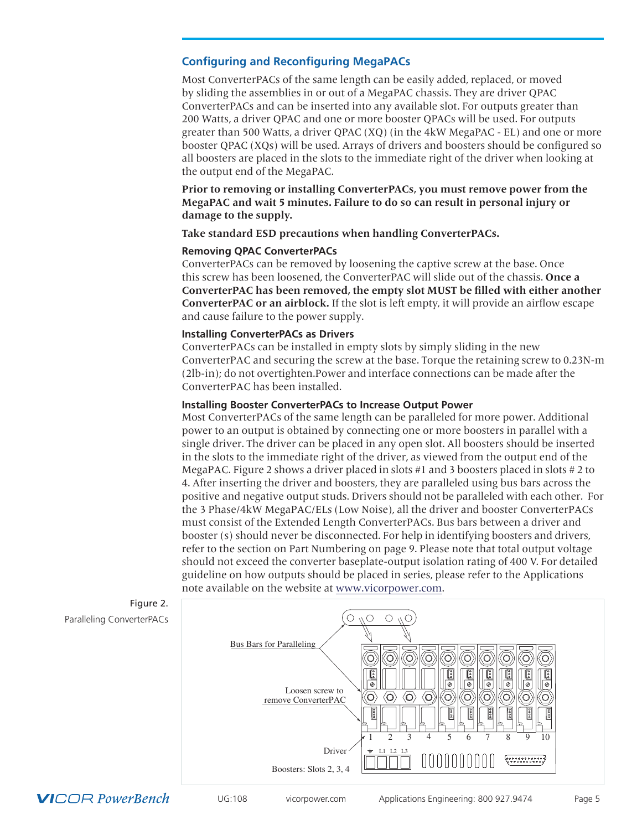## <span id="page-4-0"></span>**Configuring and Reconfiguring MegaPACs**

Most ConverterPACs of the same length can be easily added, replaced, or moved by sliding the assemblies in or out of a MegaPAC chassis. They are driver QPAC ConverterPACs and can be inserted into any available slot. For outputs greater than 200 Watts, a driver QPAC and one or more booster QPACs will be used. For outputs greater than 500 Watts, a driver QPAC (XQ) (in the 4kW MegaPAC - EL) and one or more booster QPAC (XQs) will be used. Arrays of drivers and boosters should be configured so all boosters are placed in the slots to the immediate right of the driver when looking at the output end of the MegaPAC.

**Prior to removing or installing ConverterPACs, you must remove power from the MegaPAC and wait 5 minutes. Failure to do so can result in personal injury or damage to the supply.**

**Take standard ESD precautions when handling ConverterPACs.**

## **Removing QPAC ConverterPACs**

ConverterPACs can be removed by loosening the captive screw at the base. Once this screw has been loosened, the ConverterPAC will slide out of the chassis. **Once a ConverterPAC has been removed, the empty slot MUST be filled with either another ConverterPAC or an airblock.** If the slot is left empty, it will provide an airflow escape and cause failure to the power supply.

## **Installing ConverterPACs as Drivers**

ConverterPACs can be installed in empty slots by simply sliding in the new ConverterPAC and securing the screw at the base. Torque the retaining screw to 0.23N-m (2lb-in); do not overtighten.Power and interface connections can be made after the ConverterPAC has been installed.

## **Installing Booster ConverterPACs to Increase Output Power**

Most ConverterPACs of the same length can be paralleled for more power. Additional power to an output is obtained by connecting one or more boosters in parallel with a single driver. The driver can be placed in any open slot. All boosters should be inserted in the slots to the immediate right of the driver, as viewed from the output end of the MegaPAC. Figure 2 shows a driver placed in slots #1 and 3 boosters placed in slots # 2 to 4. After inserting the driver and boosters, they are paralleled using bus bars across the positive and negative output studs. Drivers should not be paralleled with each other. For the 3 Phase/4kW MegaPAC/ELs (Low Noise), all the driver and booster ConverterPACs must consist of the Extended Length ConverterPACs. Bus bars between a driver and booster (s) should never be disconnected. For help in identifying boosters and drivers, refer to the section on Part Numbering on page 9. Please note that total output voltage should not exceed the converter baseplate-output isolation rating of 400 V. For detailed guideline on how outputs should be placed in series, please refer to the Applications note available on the website at [www.vicorpower.com.](http://www.vicorpower.com)



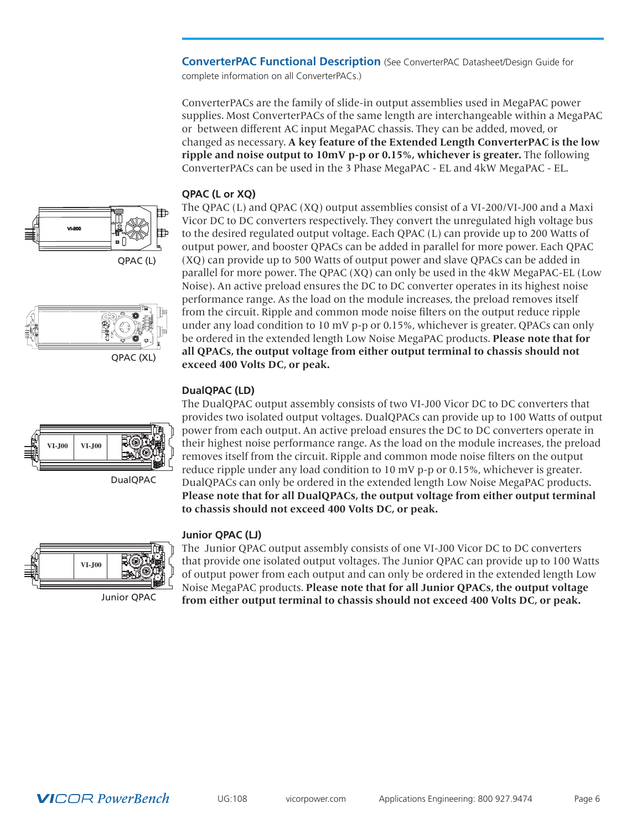<span id="page-5-0"></span>**ConverterPAC Functional Description** (See ConverterPAC Datasheet/Design Guide for complete information on all ConverterPACs.)

ConverterPACs are the family of slide-in output assemblies used in MegaPAC power supplies. Most ConverterPACs of the same length are interchangeable within a MegaPAC or between different AC input MegaPAC chassis. They can be added, moved, or changed as necessary. **A key feature of the Extended Length ConverterPAC is the low ripple and noise output to 10mV p-p or 0.15%, whichever is greater.** The following ConverterPACs can be used in the 3 Phase MegaPAC - EL and 4kW MegaPAC - EL.

## **QPAC (L or XQ)**





The QPAC (L) and QPAC (XQ) output assemblies consist of a VI-200/VI-J00 and a Maxi Vicor DC to DC converters respectively. They convert the unregulated high voltage bus to the desired regulated output voltage. Each QPAC (L) can provide up to 200 Watts of output power, and booster QPACs can be added in parallel for more power. Each QPAC (XQ) can provide up to 500 Watts of output power and slave QPACs can be added in parallel for more power. The QPAC (XQ) can only be used in the 4kW MegaPAC-EL (Low Noise). An active preload ensures the DC to DC converter operates in its highest noise performance range. As the load on the module increases, the preload removes itself from the circuit. Ripple and common mode noise filters on the output reduce ripple under any load condition to 10 mV p-p or 0.15%, whichever is greater. QPACs can only be ordered in the extended length Low Noise MegaPAC products. **Please note that for all QPACs, the output voltage from either output terminal to chassis should not exceed 400 Volts DC, or peak.**

The DualQPAC output assembly consists of two VI-J00 Vicor DC to DC converters that

## **DualQPAC (LD)**

**VI-J00 VI-J00**



**to chassis should not exceed 400 Volts DC, or peak.**

## **Junior QPAC (LJ)**



Junior QPAC

The Junior QPAC output assembly consists of one VI-J00 Vicor DC to DC converters that provide one isolated output voltages. The Junior QPAC can provide up to 100 Watts of output power from each output and can only be ordered in the extended length Low Noise MegaPAC products. **Please note that for all Junior QPACs, the output voltage from either output terminal to chassis should not exceed 400 Volts DC, or peak.**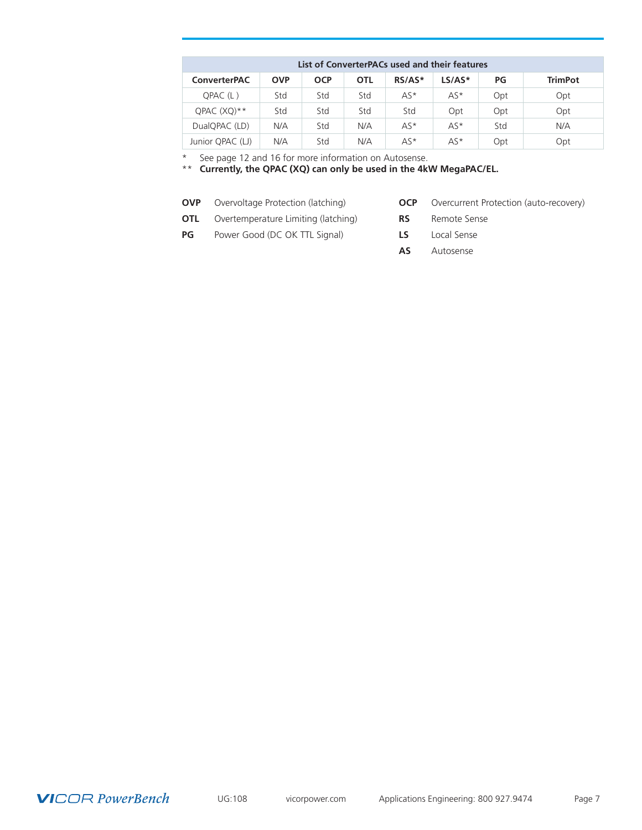| List of ConverterPACs used and their features |            |            |            |          |          |     |                |
|-----------------------------------------------|------------|------------|------------|----------|----------|-----|----------------|
| <b>ConverterPAC</b>                           | <b>OVP</b> | <b>OCP</b> | <b>OTL</b> | $RS/AS*$ | $LS/AS*$ | PG  | <b>TrimPot</b> |
| OPAC(L)                                       | Std        | Std        | Std        | $AS*$    | $AS*$    | Opt | Opt            |
| OPAC (XO)**                                   | Std        | Std        | Std        | Std      | Opt      | Opt | Opt            |
| DualQPAC (LD)                                 | N/A        | Std        | N/A        | $AS*$    | $AS*$    | Std | N/A            |
| Junior QPAC (LJ)                              | N/A        | Std        | N/A        | $AS*$    | $AS*$    | Opt | Opt            |

\* See page 12 and 16 for more information on Autosense.

\*\* **Currently, the QPAC (XQ) can only be used in the 4kW MegaPAC/EL.**

- **OVP** Overvoltage Protection (latching) **OCP** Overcurrent Protection (auto-recovery)
- **OTL** Overtemperature Limiting (latching) **RS** Remote Sense

**PG** Power Good (DC OK TTL Signal) **LS** Local Sense

- 
- 
- 
- **AS** Autosense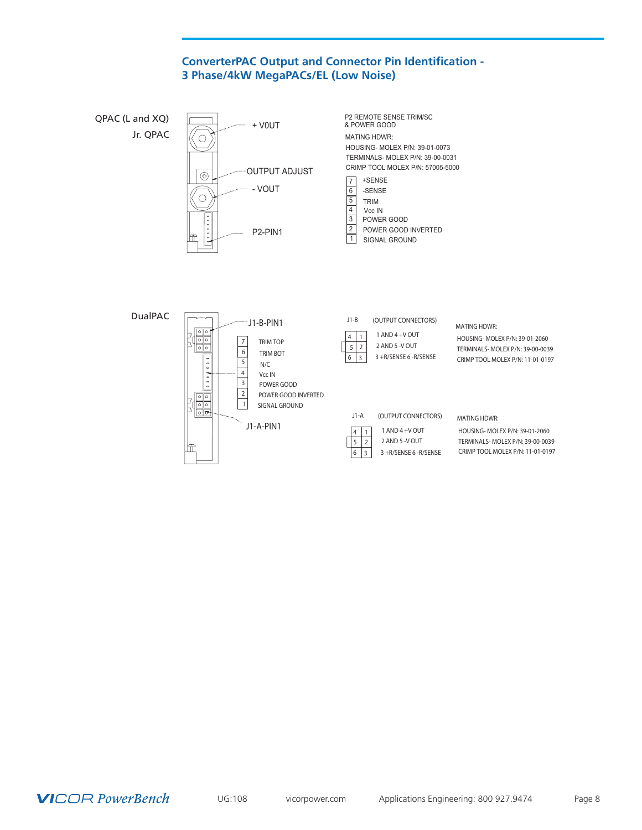## **ConverterPAC Output and Connector Pin Identification - 3 Phase/4kW MegaPACs/EL (Low Noise)**



**VICOR PowerBench** 

UG:108 vicorpower.com Applications Engineering: 800 927.9474 Page 8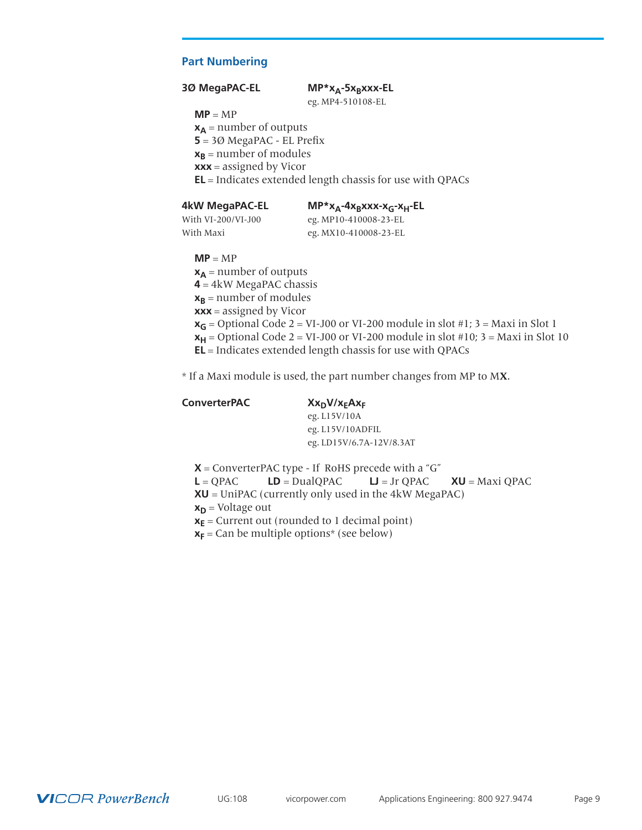## <span id="page-8-0"></span>**Part Numbering**

#### **3Ø MegaPAC-EL** MP\*x<sub>A</sub>-5x<sub>B</sub>xxx-EL

eg. MP4-510108-EL

**MP** = MP

 $x_A$  = number of outputs **5** = 3Ø MegaPAC - EL Prefix  $x_B$  = number of modules **xxx** = assigned by Vicor **EL** = Indicates extended length chassis for use with QPACs

**4kW MegaPAC-EL MP\*x<sub>A</sub>-4x<sub>B</sub>xxx-x<sub>G</sub>-x<sub>H</sub>-EL<br>With VI-200/VI-J00 eg. MP10-410008-23-EL** eg. MP10-410008-23-EL With Maxi eg. MX10-410008-23-EL

 $MP = MP$ 

 $x_A$  = number of outputs **4** = 4kW MegaPAC chassis  $x_B$  = number of modules **xxx** = assigned by Vicor  $x_G$  = Optional Code 2 = VI-J00 or VI-200 module in slot #1; 3 = Maxi in Slot 1  $x_H$  = Optional Code 2 = VI-J00 or VI-200 module in slot #10; 3 = Maxi in Slot 10 **EL** = Indicates extended length chassis for use with QPACs

\* If a Maxi module is used, the part number changes from MP to M**X**.

#### ConverterPAC Xx<sub>D</sub>V/x<sub>E</sub>Ax<sub>F</sub>

 eg. L15V/10A eg. L15V/10ADFIL eg. LD15V/6.7A-12V/8.3AT

 $X =$  ConverterPAC type - If RoHS precede with a "G"  $L = QPAC$   $LD = DualQPAC$   $LJ = Jr QPAC$   $XU = Maxi QPAC$ **XU** = UniPAC (currently only used in the 4kW MegaPAC)  $x_D$  = Voltage out  $x_E$  = Current out (rounded to 1 decimal point)  $x_F$  = Can be multiple options\* (see below)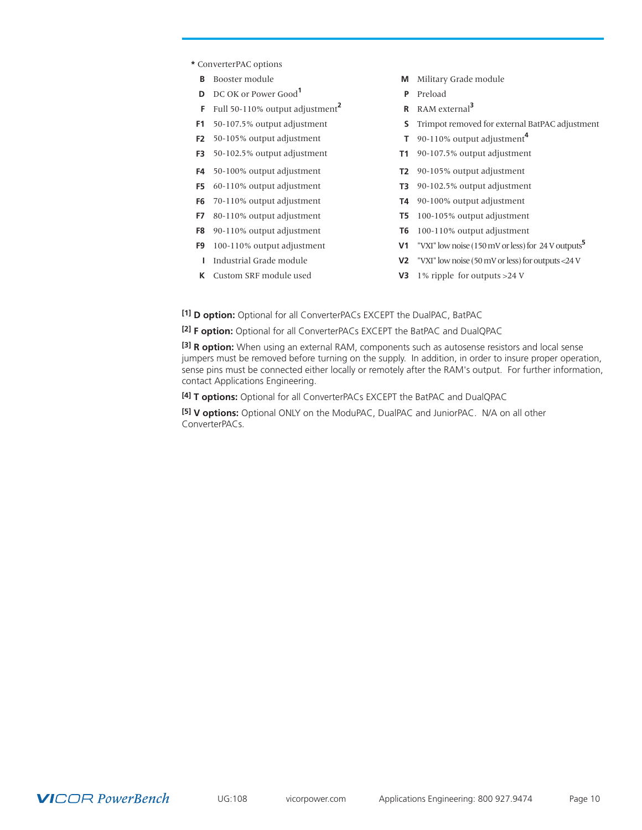- **\*** ConverterPAC options
	-
	- **D** DC OK or Power Good**<sup>1</sup> P** Preload
	- **F** Full 50-110% output adjustment**<sup>2</sup> R** RAM external**<sup>3</sup>**
- 
- **F2** 50-105% output adjustment **T** 90-110% output adjustment**<sup>4</sup>**
- **F3** 50-102.5% output adjustment **T1** 90-107.5% output adjustment
- 
- **F5** 60-110% output adjustment **T3** 90-102.5% output adjustment
- 
- **F7** 80-110% output adjustment **T5** 100-105% output adjustment
- **F8** 90-110% output adjustment **T6** 100-110% output adjustment
- 
- 
- 
- **B** Booster module **M** Military Grade module
	-
	-
- **F1** 50-107.5% output adjustment **S** Trimpot removed for external BatPAC adjustment
	-
	-
- **F4** 50-100% output adjustment **T2** 90-105% output adjustment
	-
- **F6** 70-110% output adjustment **T4** 90-100% output adjustment
	-
	-
- **F9** 100-110% output adjustment **V1** "VXI" low noise (150 mV or less) for 24 V outputs**<sup>5</sup>**
- **I** Industrial Grade module **V2** "VXI" low noise (50 mV or less) for outputs <24 V
- **K** Custom SRF module used **V3** 1% ripple for outputs >24 V
- **[1] D option:** Optional for all ConverterPACs EXCEPT the DualPAC, BatPAC

**[2] F option:** Optional for all ConverterPACs EXCEPT the BatPAC and DualQPAC

**[3] R option:** When using an external RAM, components such as autosense resistors and local sense jumpers must be removed before turning on the supply. In addition, in order to insure proper operation, sense pins must be connected either locally or remotely after the RAM's output. For further information, contact Applications Engineering.

**[4] T options:** Optional for all ConverterPACs EXCEPT the BatPAC and DualQPAC

**[5] V options:** Optional ONLY on the ModuPAC, DualPAC and JuniorPAC. N/A on all other ConverterPACs.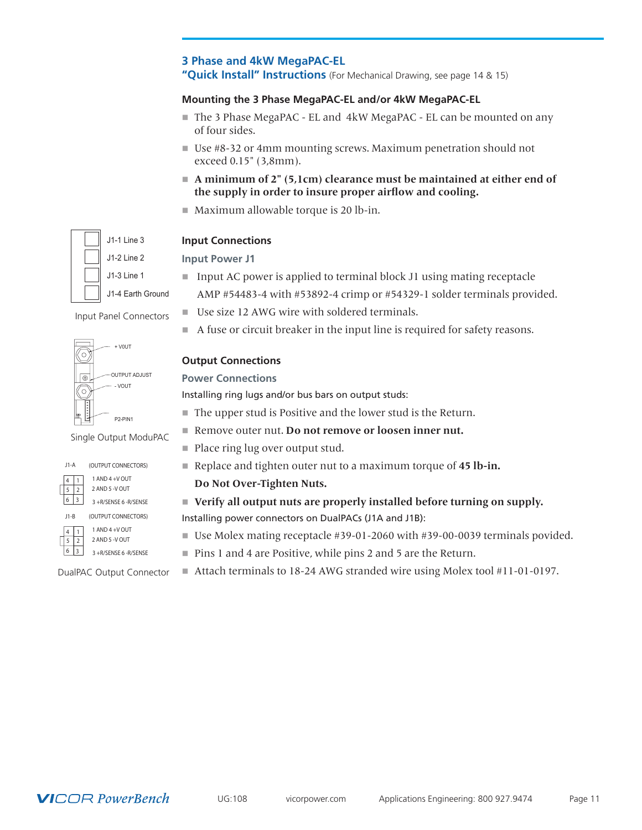## <span id="page-10-0"></span>**3 Phase and 4kW MegaPAC-EL "Quick Install" Instructions** (For Mechanical Drawing, see page 14 & 15)

## **Mounting the 3 Phase MegaPAC-EL and/or 4kW MegaPAC-EL**

- The 3 Phase MegaPAC EL and 4kW MegaPAC EL can be mounted on any of four sides.
- Use #8-32 or 4mm mounting screws. Maximum penetration should not exceed 0.15" (3,8mm).
- A minimum of 2" (5,1cm) clearance must be maintained at either end of **the supply in order to insure proper airflow and cooling.**
- $\blacksquare$  Maximum allowable torque is 20 lb-in.

## **Input Connections**

## **Input Power J1**

 $\blacksquare$  Input AC power is applied to terminal block J1 using mating receptacle

AMP #54483-4 with #53892-4 crimp or #54329-1 solder terminals provided.

- Use size 12 AWG wire with soldered terminals.
- $\blacksquare$  A fuse or circuit breaker in the input line is required for safety reasons.

## **Output Connections**

## **Power Connections**

Installing ring lugs and/or bus bars on output studs:

- $\blacksquare$  The upper stud is Positive and the lower stud is the Return.
- Remove outer nut. **Do not remove or loosen inner nut.**
- Place ring lug over output stud. (OUTPUT CONNECTORS)
	- Replace and tighten outer nut to a maximum torque of 45 **lb-in.** 
		- **Do Not Over-Tighten Nuts.**

## ■ Verify all output nuts are properly installed before turning on supply.

Installing power connectors on DualPACs (J1A and J1B):

- Use Molex mating receptacle #39-01-2060 with #39-00-0039 terminals povided.
- Pins 1 and 4 are Positive, while pins 2 and 5 are the Return.
- Attach terminals to 18-24 AWG stranded wire using Molex tool #11-01-0197.



+ V0UT OUTPUT ADJUST ۱G - VOUT P2-PIN1

Input Panel Connectors

Single Output ModuPAC



 $\begin{array}{c|c} 6 & 3 & 3 + R/$ SENSE 6 -R/SENSE

| J1-B       | (OUTPUT CONNECTORS) |
|------------|---------------------|
| $\sqrt{1}$ | $1$ AND $4 + V$ OUT |



3 +R/SENSE 6 -R/SENSE

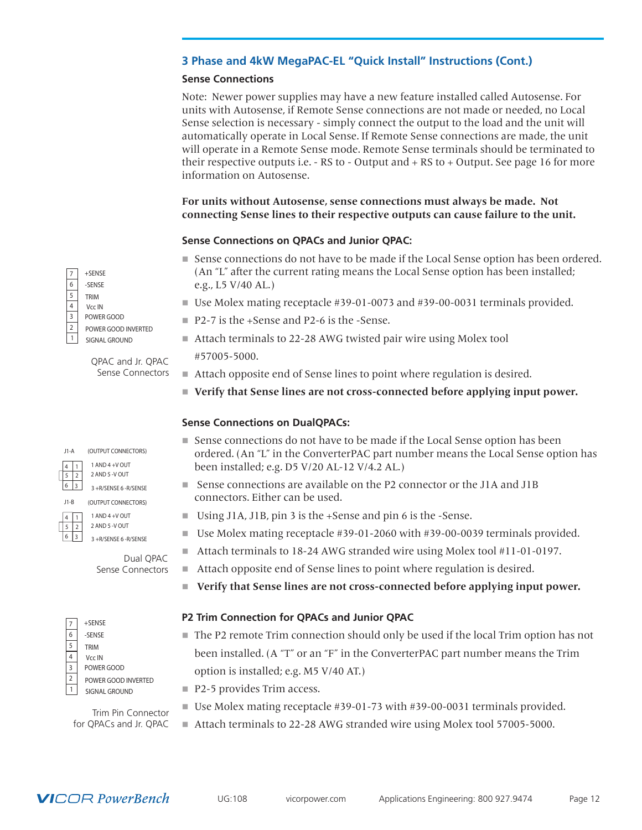## **3 Phase and 4kW MegaPAC-EL "Quick Install" Instructions (Cont.)**

## **Sense Connections**

Note: Newer power supplies may have a new feature installed called Autosense. For units with Autosense, if Remote Sense connections are not made or needed, no Local Sense selection is necessary - simply connect the output to the load and the unit will automatically operate in Local Sense. If Remote Sense connections are made, the unit will operate in a Remote Sense mode. Remote Sense terminals should be terminated to their respective outputs i.e. - RS to - Output and + RS to + Output. See page 16 for more information on Autosense.

## **For units without Autosense, sense connections must always be made. Not connecting Sense lines to their respective outputs can cause failure to the unit.**

## **Sense Connections on QPACs and Junior QPAC:**

- Sense connections do not have to be made if the Local Sense option has been ordered. (An "L" after the current rating means the Local Sense option has been installed; e.g., L5 V/40 AL.)
- Use Molex mating receptacle  $#39-01-0073$  and  $#39-00-0031$  terminals provided.
- P2-7 is the +Sense and P2-6 is the -Sense.
- Attach terminals to 22-28 AWG twisted pair wire using Molex tool

#57005-5000.

- $\blacksquare$  Attach opposite end of Sense lines to point where regulation is desired.
- n **Verify that Sense lines are not cross-connected before applying input power.**

## **Sense Connections on DualQPACs:**

- n Sense connections do not have to be made if the Local Sense option has been ordered. (An "L" in the ConverterPAC part number means the Local Sense option has been installed; e.g. D5 V/20 AL-12 V/4.2 AL.)
- $\blacksquare$  Sense connections are available on the P2 connector or the J1A and J1B connectors. Either can be used.
- Using J1A, J1B, pin 3 is the +Sense and pin 6 is the -Sense.
- Use Molex mating receptacle  $#39-01-2060$  with  $#39-00-0039$  terminals provided.
- $\blacksquare$  Attach terminals to 18-24 AWG stranded wire using Molex tool #11-01-0197.
- Attach opposite end of Sense lines to point where regulation is desired.
- n **Verify that Sense lines are not cross-connected before applying input power.**

## **P2 Trim Connection for QPACs and Junior QPAC**

- $\blacksquare$  The P2 remote Trim connection should only be used if the local Trim option has not been installed. (A "T" or an "F" in the ConverterPAC part number means the Trim option is installed; e.g. M5 V/40 AT.)
- $\blacksquare$  P2-5 provides Trim access.
	- Use Molex mating receptacle  $#39-01-73$  with  $#39-00-0031$  terminals provided.
	- Attach terminals to 22-28 AWG stranded wire using Molex tool 57005-5000.

+SENSE POWER GOOD SIGNAL GROUND POWER GOOD INVERTED Vcc IN TRIM 5 -SENSE

> QPAC and Jr. QPAC Sense Connectors

J1-A

4 J1-B

2 1

3

4

7 6

3 3 +R/SENSE 6 -R/SENSE (OUTPUT CONNECTORS)

(OUTPUT CONNECTORS) 1 AND  $4 + V$  OUT

2 AND 5 -V OUT

3 +R/SENSE 6 -R/SENSE 5 2 2 AND 5 -V OUT 3  $1$  AND  $4 + V$  OUT

> Dual QPAC Sense Connectors

|                | $+$ SENSE           |
|----------------|---------------------|
| 6              | -SENSE              |
| 5              | <b>TRIM</b>         |
| 4              | Vcc IN              |
| 3              | POWER GOOD          |
| $\overline{2}$ | POWER GOOD INVERTED |
| 1              | SIGNAL GROUND       |

Trim Pin Connector for QPACs and Jr. QPAC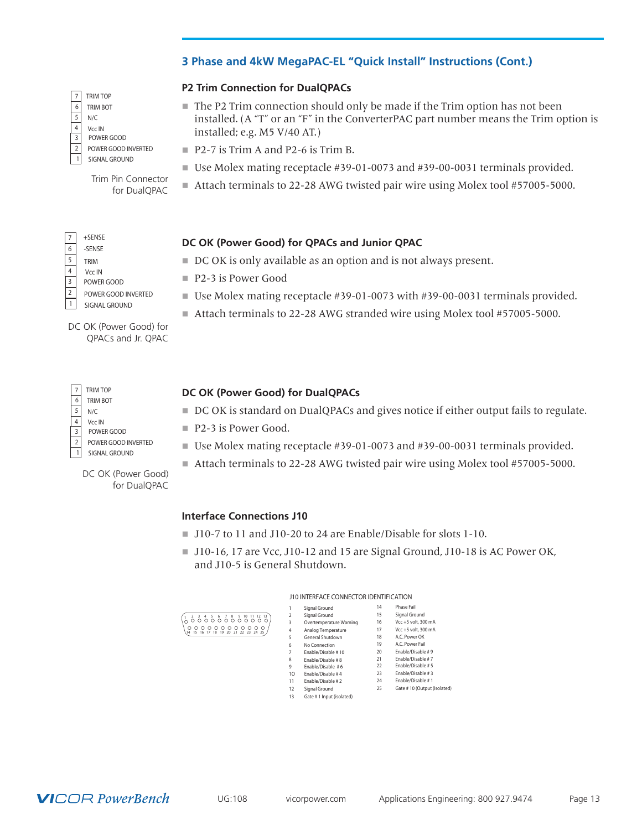## **3 Phase and 4kW MegaPAC-EL "Quick Install" Instructions (Cont.)**

## **P2 Trim Connection for DualQPACs**

- $\blacksquare$  The P2 Trim connection should only be made if the Trim option has not been installed. (A "T" or an "F" in the ConverterPAC part number means the Trim option is installed; e.g. M5 V/40 AT.)
- P2-7 is Trim A and P2-6 is Trim B.
- Use Molex mating receptacle #39-01-0073 and #39-00-0031 terminals provided.
- Attach terminals to 22-28 AWG twisted pair wire using Molex tool #57005-5000.

## **DC OK (Power Good) for QPACs and Junior QPAC**

- $\blacksquare$  DC OK is only available as an option and is not always present.
- P2-3 is Power Good
- $\blacksquare$  Use Molex mating receptacle #39-01-0073 with #39-00-0031 terminals provided.
- Attach terminals to 22-28 AWG stranded wire using Molex tool #57005-5000.

DC OK (Power Good) for QPACs and Jr. QPAC

POWER GOOD INVERTED

Trim Pin Connector for DualQPAC

SIGNAL GROUND

POWER GOOD Vcc IN

TRIM TOP TRIM BOT

+SENSE

-SENSE

Vcc IN

TRIM

2 1

3

4 5

7 6

POWER GOOD

SIGNAL GROUND POWER GOOD INVERTED

 $5 N/C$ 

3 2

4

7 6

| <b>TRIM TOP</b><br>TRIM BOT | DC OK (Power Good) for DualQPACs                                                      |
|-----------------------------|---------------------------------------------------------------------------------------|
| N/C                         | ■ DC OK is standard on DualQPACs and gives notice if either output fails to regulate. |
| Vcc IN<br>POWER GOOD        | $\blacksquare$ P2-3 is Power Good.                                                    |
| POWER GOOD INVERTED         | ■ Use Molex mating receptacle $#39-01-0073$ and $#39-00-0031$ terminals provided.     |

 $\left($ 

- Good.
- ing receptacle #39-01-0073 and #39-00-0031 terminals provided.
- Attach terminals to 22-28 AWG twisted pair wire using Molex tool #57005-5000.

## **Interface Connections J10**

- $\blacksquare$  J10-7 to 11 and J10-20 to 24 are Enable/Disable for slots 1-10.
- J10-16, 17 are Vcc, J10-12 and 15 are Signal Ground, J10-18 is AC Power OK, and J10-5 is General Shutdown.

|                                                                                           | J10 INTERFACE CONNECTOR IDENTIFICATION |                          |    |                             |
|-------------------------------------------------------------------------------------------|----------------------------------------|--------------------------|----|-----------------------------|
|                                                                                           |                                        | Signal Ground            | 14 | Phase Fail                  |
|                                                                                           | 2                                      | Signal Ground            | 15 | Signal Ground               |
|                                                                                           | 3                                      | Overtemperature Warning  | 16 | Vcc +5 volt. 300 mA         |
| $\circ$<br>00000<br>$\circ$<br>000<br>$\circ$ $\circ$<br>18 19 20 21 22 23 24 25<br>14 15 | 4                                      | Analog Temperature       | 17 | Vcc +5 volt. 300 mA         |
|                                                                                           | 5                                      | General Shutdown         | 18 | A.C. Power OK               |
|                                                                                           | 6                                      | No Connection            | 19 | A.C. Power Fail             |
|                                                                                           | 7                                      | Enable/Disable #10       | 20 | Enable/Disable #9           |
|                                                                                           | 8                                      | Fnable/Disable #8        | 21 | Fnable/Disable #7           |
|                                                                                           | 9                                      | Enable/Disable #6        | 22 | Enable/Disable #5           |
|                                                                                           | 10                                     | Fnable/Disable #4        | 23 | Enable/Disable #3           |
|                                                                                           | 11                                     | Enable/Disable #2        | 24 | Enable/Disable #1           |
|                                                                                           | 12                                     | Signal Ground            | 25 | Gate #10 (Output (Isolated) |
|                                                                                           | 13                                     | Gate #1 Input (isolated) |    |                             |

5 N/C 7 6

2

3 4

1 SIGNAL GROUND

DC OK (Power Good) for DualQPAC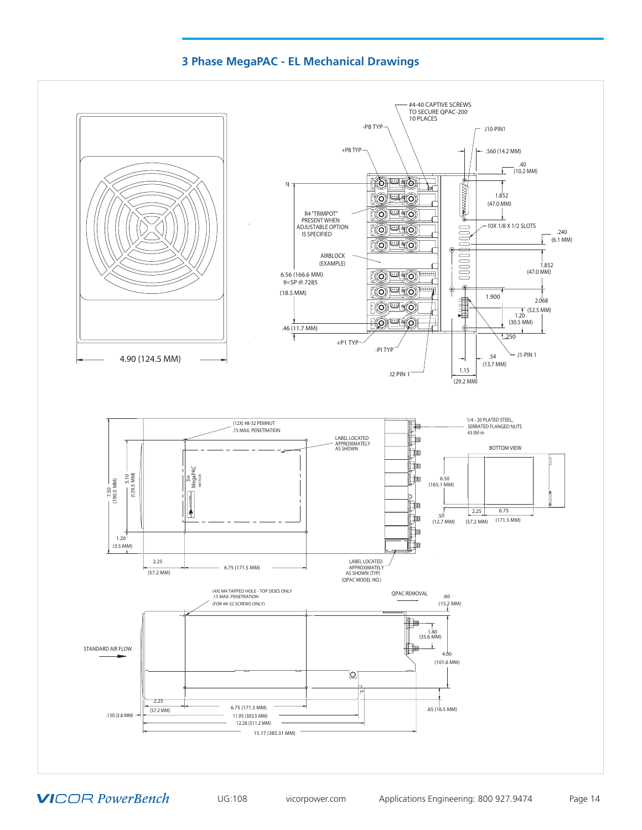## **3 Phase MegaPAC - EL Mechanical Drawings**

<span id="page-13-0"></span>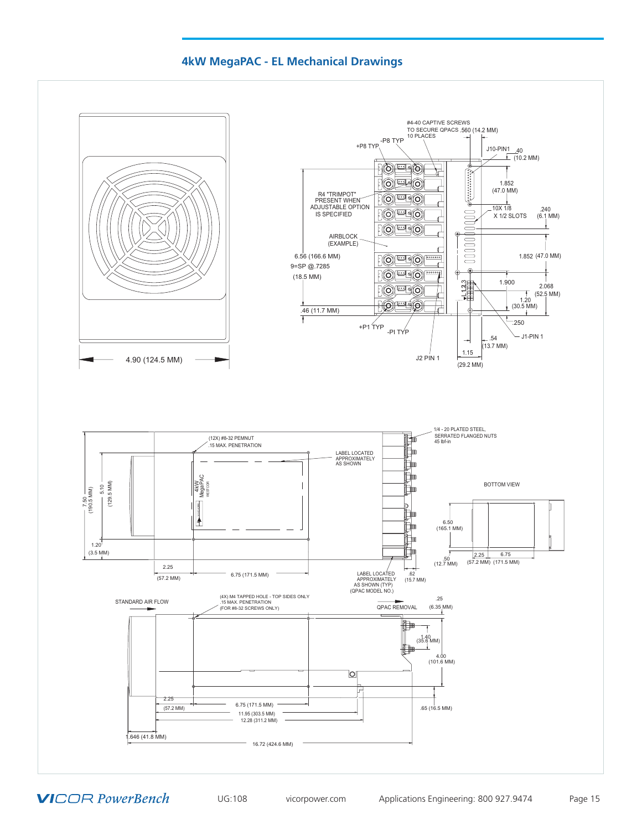## **4kW MegaPAC - EL Mechanical Drawings**

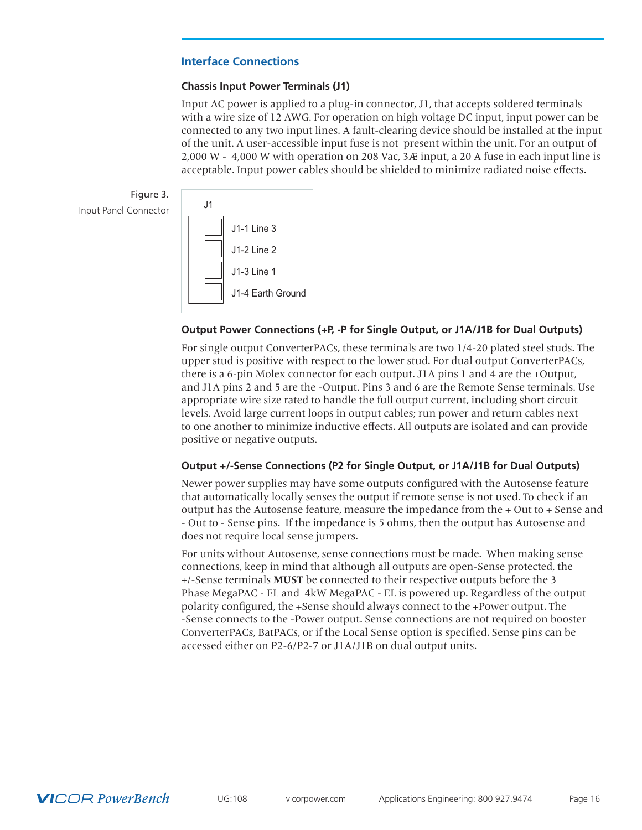## <span id="page-15-0"></span>**Interface Connections**

## **Chassis Input Power Terminals (J1)**

Input AC power is applied to a plug-in connector, J1, that accepts soldered terminals with a wire size of 12 AWG. For operation on high voltage DC input, input power can be connected to any two input lines. A fault-clearing device should be installed at the input of the unit. A user-accessible input fuse is not present within the unit. For an output of 2,000 W - 4,000 W with operation on 208 Vac,  $3 \mathcal{A}$  input, a 20 A fuse in each input line is acceptable. Input power cables should be shielded to minimize radiated noise effects.





## **Output Power Connections (+P, -P for Single Output, or J1A/J1B for Dual Outputs)**

For single output ConverterPACs, these terminals are two 1/4-20 plated steel studs. The upper stud is positive with respect to the lower stud. For dual output ConverterPACs, there is a 6-pin Molex connector for each output. J1A pins 1 and 4 are the +Output, and J1A pins 2 and 5 are the -Output. Pins 3 and 6 are the Remote Sense terminals. Use appropriate wire size rated to handle the full output current, including short circuit levels. Avoid large current loops in output cables; run power and return cables next to one another to minimize inductive effects. All outputs are isolated and can provide positive or negative outputs.

## **Output +/-Sense Connections (P2 for Single Output, or J1A/J1B for Dual Outputs)**

Newer power supplies may have some outputs configured with the Autosense feature that automatically locally senses the output if remote sense is not used. To check if an output has the Autosense feature, measure the impedance from the + Out to + Sense and - Out to - Sense pins. If the impedance is 5 ohms, then the output has Autosense and does not require local sense jumpers.

For units without Autosense, sense connections must be made. When making sense connections, keep in mind that although all outputs are open-Sense protected, the +/-Sense terminals **MUST** be connected to their respective outputs before the 3 Phase MegaPAC - EL and 4kW MegaPAC - EL is powered up. Regardless of the output polarity configured, the +Sense should always connect to the +Power output. The -Sense connects to the -Power output. Sense connections are not required on booster ConverterPACs, BatPACs, or if the Local Sense option is specified. Sense pins can be accessed either on P2-6/P2-7 or J1A/J1B on dual output units.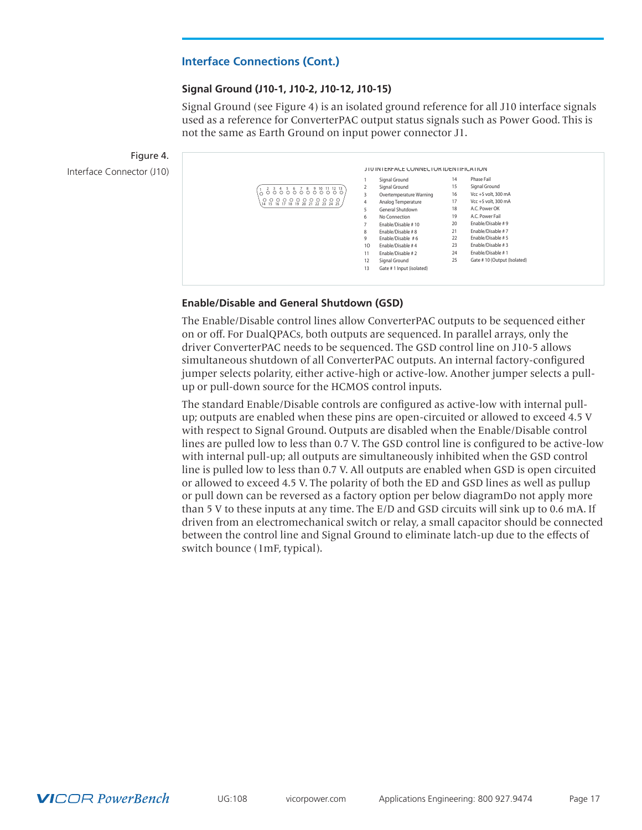## **Signal Ground (J10-1, J10-2, J10-12, J10-15)**

Signal Ground (see Figure 4) is an isolated ground reference for all J10 interface signals used as a reference for ConverterPAC output status signals such as Power Good. This is not the same as Earth Ground on input power connector J1.



|                                                      |                 | Signal Ground            | 14 | Phase Fail                  |
|------------------------------------------------------|-----------------|--------------------------|----|-----------------------------|
|                                                      | 2               | Signal Ground            | 15 | Signal Ground               |
| 66666688888                                          | 3               | Overtemperature Warning  | 16 | Vcc +5 volt. 300 mA         |
| 0000000000000<br>14 15 16 17 18 19 20 21 22 23 24 25 | 4               | Analog Temperature       | 17 | Vcc +5 volt. 300 mA         |
|                                                      | 5.              | General Shutdown         | 18 | A.C. Power OK               |
|                                                      | 6               | No Connection            | 19 | A.C. Power Fail             |
|                                                      | 7               | Enable/Disable #10       | 20 | Enable/Disable #9           |
|                                                      | 8               | Fnable/Disable #8        | 21 | Fnable/Disable #7           |
|                                                      | 9               | Enable/Disable #6        | 22 | Enable/Disable #5           |
|                                                      | 10 <sup>2</sup> | Fnable/Disable #4        | 23 | Enable/Disable #3           |
|                                                      | 11              | Enable/Disable #2        | 24 | Enable/Disable #1           |
|                                                      | 12              | Signal Ground            | 25 | Gate #10 (Output (Isolated) |
|                                                      | 13              | Gate #1 Input (isolated) |    |                             |

## **Enable/Disable and General Shutdown (GSD)**

The Enable/Disable control lines allow ConverterPAC outputs to be sequenced either on or off. For DualQPACs, both outputs are sequenced. In parallel arrays, only the driver ConverterPAC needs to be sequenced. The GSD control line on J10-5 allows simultaneous shutdown of all ConverterPAC outputs. An internal factory-configured jumper selects polarity, either active-high or active-low. Another jumper selects a pullup or pull-down source for the HCMOS control inputs.

The standard Enable/Disable controls are configured as active-low with internal pullup; outputs are enabled when these pins are open-circuited or allowed to exceed 4.5 V with respect to Signal Ground. Outputs are disabled when the Enable/Disable control lines are pulled low to less than 0.7 V. The GSD control line is configured to be active-low with internal pull-up; all outputs are simultaneously inhibited when the GSD control line is pulled low to less than 0.7 V. All outputs are enabled when GSD is open circuited or allowed to exceed 4.5 V. The polarity of both the ED and GSD lines as well as pullup or pull down can be reversed as a factory option per below diagramDo not apply more than 5 V to these inputs at any time. The E/D and GSD circuits will sink up to 0.6 mA. If driven from an electromechanical switch or relay, a small capacitor should be connected between the control line and Signal Ground to eliminate latch-up due to the effects of switch bounce (1mF, typical).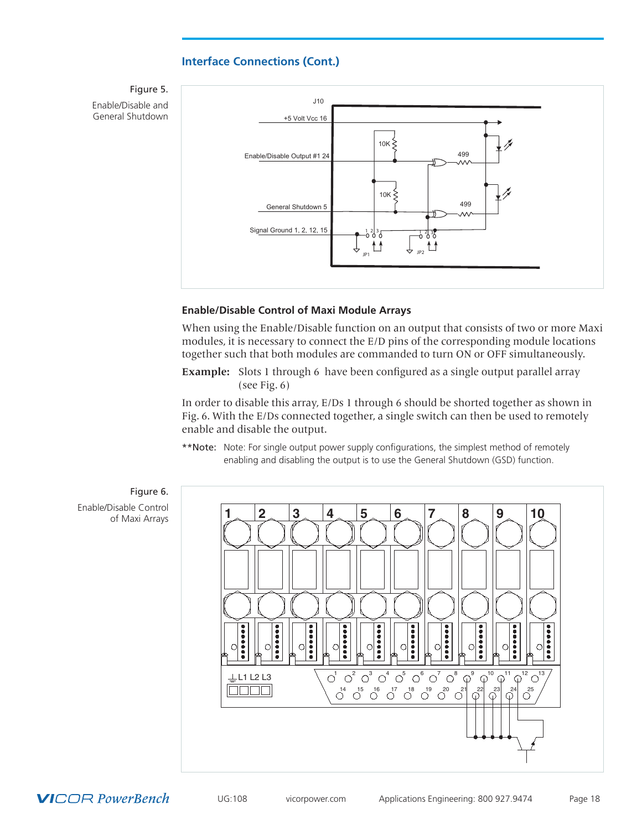Figure 5. Enable/Disable and General Shutdown



## **Enable/Disable Control of Maxi Module Arrays**

When using the Enable/Disable function on an output that consists of two or more Maxi modules, it is necessary to connect the E/D pins of the corresponding module locations together such that both modules are commanded to turn ON or OFF simultaneously.

**Example:** Slots 1 through 6 have been configured as a single output parallel array (see Fig. 6)

In order to disable this array, E/Ds 1 through 6 should be shorted together as shown in Fig. 6. With the E/Ds connected together, a single switch can then be used to remotely enable and disable the output.

\*\*Note: Note: For single output power supply configurations, the simplest method of remotely enabling and disabling the output is to use the General Shutdown (GSD) function.

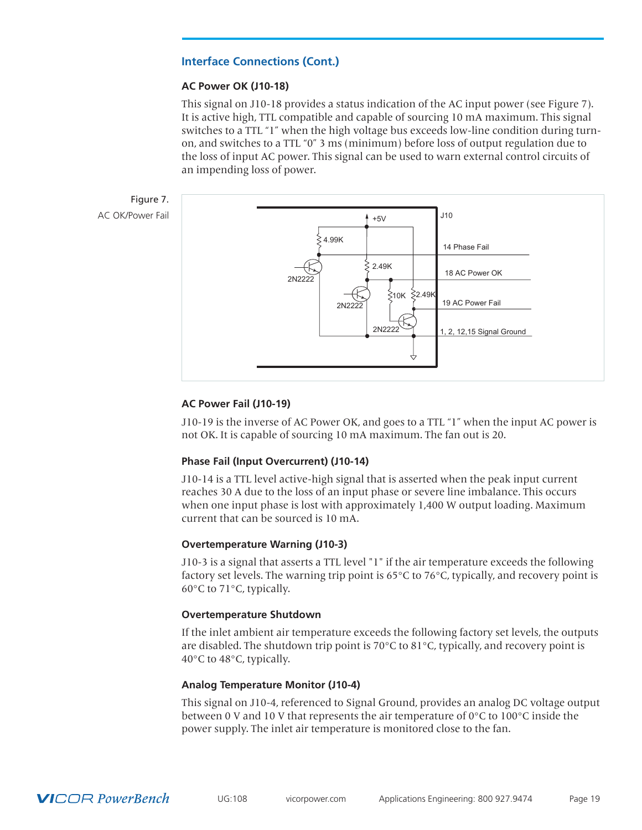## **AC Power OK (J10-18)**

This signal on J10-18 provides a status indication of the AC input power (see Figure 7). It is active high, TTL compatible and capable of sourcing 10 mA maximum. This signal switches to a TTL "1" when the high voltage bus exceeds low-line condition during turnon, and switches to a TTL "0" 3 ms (minimum) before loss of output regulation due to the loss of input AC power. This signal can be used to warn external control circuits of an impending loss of power.





## **AC Power Fail (J10-19)**

J10-19 is the inverse of AC Power OK, and goes to a TTL "1" when the input AC power is not OK. It is capable of sourcing 10 mA maximum. The fan out is 20.

## **Phase Fail (Input Overcurrent) (J10-14)**

J10-14 is a TTL level active-high signal that is asserted when the peak input current reaches 30 A due to the loss of an input phase or severe line imbalance. This occurs when one input phase is lost with approximately 1,400 W output loading. Maximum current that can be sourced is 10 mA.

## **Overtemperature Warning (J10-3)**

J10-3 is a signal that asserts a TTL level "1" if the air temperature exceeds the following factory set levels. The warning trip point is 65°C to 76°C, typically, and recovery point is 60°C to 71°C, typically.

## **Overtemperature Shutdown**

If the inlet ambient air temperature exceeds the following factory set levels, the outputs are disabled. The shutdown trip point is 70 $\degree$ C to 81 $\degree$ C, typically, and recovery point is 40°C to 48°C, typically.

## **Analog Temperature Monitor (J10-4)**

This signal on J10-4, referenced to Signal Ground, provides an analog DC voltage output between 0 V and 10 V that represents the air temperature of  $0^{\circ}$ C to 100 $^{\circ}$ C inside the power supply. The inlet air temperature is monitored close to the fan.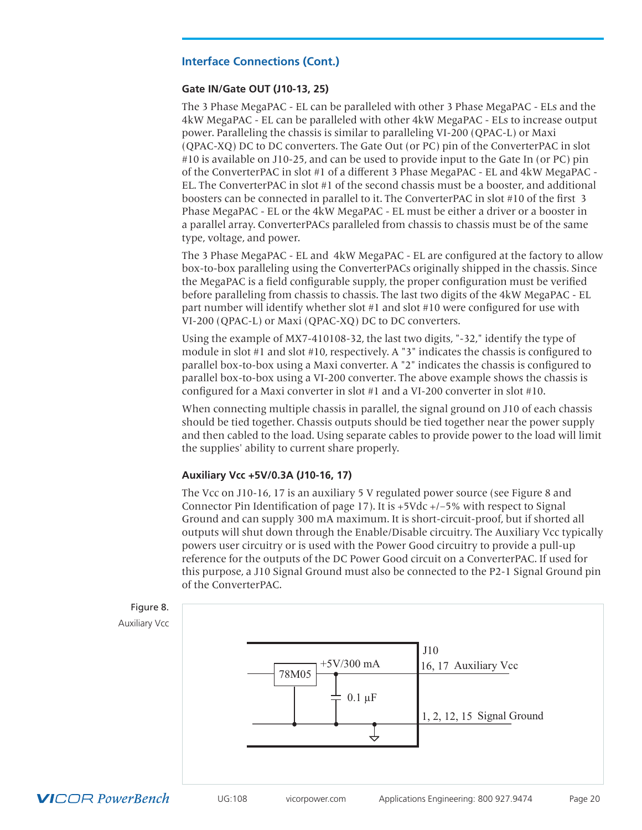## **Gate IN/Gate OUT (J10-13, 25)**

The 3 Phase MegaPAC - EL can be paralleled with other 3 Phase MegaPAC - ELs and the 4kW MegaPAC - EL can be paralleled with other 4kW MegaPAC - ELs to increase output power. Paralleling the chassis is similar to paralleling VI-200 (QPAC-L) or Maxi (QPAC-XQ) DC to DC converters. The Gate Out (or PC) pin of the ConverterPAC in slot #10 is available on J10-25, and can be used to provide input to the Gate In (or PC) pin of the ConverterPAC in slot #1 of a different 3 Phase MegaPAC - EL and 4kW MegaPAC - EL. The ConverterPAC in slot #1 of the second chassis must be a booster, and additional boosters can be connected in parallel to it. The ConverterPAC in slot #10 of the first 3 Phase MegaPAC - EL or the 4kW MegaPAC - EL must be either a driver or a booster in a parallel array. ConverterPACs paralleled from chassis to chassis must be of the same type, voltage, and power.

The 3 Phase MegaPAC - EL and 4kW MegaPAC - EL are configured at the factory to allow box-to-box paralleling using the ConverterPACs originally shipped in the chassis. Since the MegaPAC is a field configurable supply, the proper configuration must be verified before paralleling from chassis to chassis. The last two digits of the 4kW MegaPAC - EL part number will identify whether slot #1 and slot #10 were configured for use with VI-200 (QPAC-L) or Maxi (QPAC-XQ) DC to DC converters.

Using the example of MX7-410108-32, the last two digits, "-32," identify the type of module in slot #1 and slot #10, respectively. A "3" indicates the chassis is configured to parallel box-to-box using a Maxi converter. A "2" indicates the chassis is configured to parallel box-to-box using a VI-200 converter. The above example shows the chassis is configured for a Maxi converter in slot #1 and a VI-200 converter in slot #10.

When connecting multiple chassis in parallel, the signal ground on J10 of each chassis should be tied together. Chassis outputs should be tied together near the power supply and then cabled to the load. Using separate cables to provide power to the load will limit the supplies' ability to current share properly.

## **Auxiliary Vcc +5V/0.3A (J10-16, 17)**

The Vcc on J10-16, 17 is an auxiliary 5 V regulated power source (see Figure 8 and Connector Pin Identification of page 17). It is  $+5$ Vdc  $+/-5$ % with respect to Signal Ground and can supply 300 mA maximum. It is short-circuit-proof, but if shorted all outputs will shut down through the Enable/Disable circuitry. The Auxiliary Vcc typically powers user circuitry or is used with the Power Good circuitry to provide a pull-up reference for the outputs of the DC Power Good circuit on a ConverterPAC. If used for this purpose, a J10 Signal Ground must also be connected to the P2-1 Signal Ground pin of the ConverterPAC.

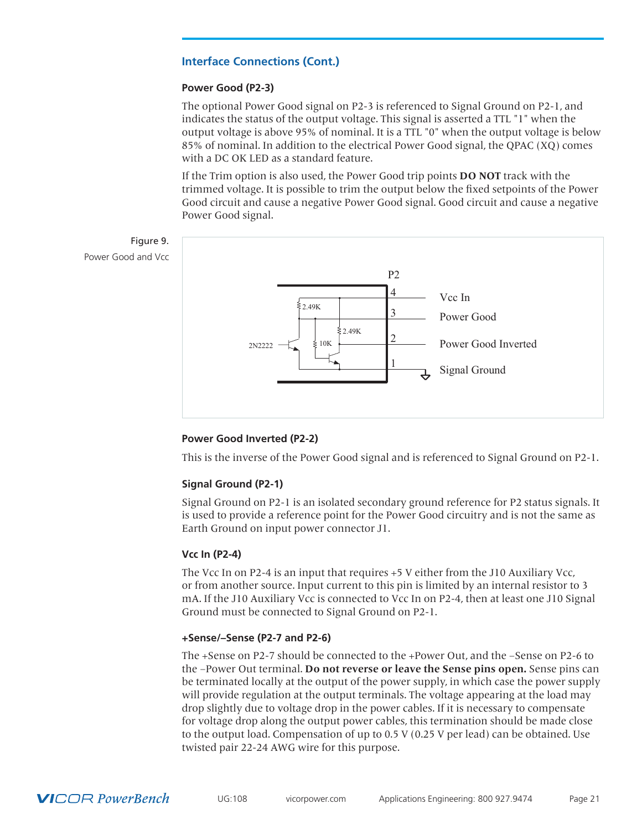## **Power Good (P2-3)**

The optional Power Good signal on P2-3 is referenced to Signal Ground on P2-1, and indicates the status of the output voltage. This signal is asserted a TTL "1" when the output voltage is above 95% of nominal. It is a TTL "0" when the output voltage is below 85% of nominal. In addition to the electrical Power Good signal, the QPAC (XQ) comes with a DC OK LED as a standard feature.

If the Trim option is also used, the Power Good trip points **DO NOT** track with the trimmed voltage. It is possible to trim the output below the fixed setpoints of the Power Good circuit and cause a negative Power Good signal. Good circuit and cause a negative Power Good signal.



## **Power Good Inverted (P2-2)**

This is the inverse of the Power Good signal and is referenced to Signal Ground on P2-1.

## **Signal Ground (P2-1)**

Signal Ground on P2-1 is an isolated secondary ground reference for P2 status signals. It is used to provide a reference point for the Power Good circuitry and is not the same as Earth Ground on input power connector J1.

## **Vcc In (P2-4)**

The Vcc In on P2-4 is an input that requires +5 V either from the J10 Auxiliary Vcc, or from another source. Input current to this pin is limited by an internal resistor to 3 mA. If the J10 Auxiliary Vcc is connected to Vcc In on P2-4, then at least one J10 Signal Ground must be connected to Signal Ground on P2-1.

## **+Sense/–Sense (P2-7 and P2-6)**

The +Sense on P2-7 should be connected to the +Power Out, and the –Sense on P2-6 to the –Power Out terminal. **Do not reverse or leave the Sense pins open.** Sense pins can be terminated locally at the output of the power supply, in which case the power supply will provide regulation at the output terminals. The voltage appearing at the load may drop slightly due to voltage drop in the power cables. If it is necessary to compensate for voltage drop along the output power cables, this termination should be made close to the output load. Compensation of up to 0.5 V (0.25 V per lead) can be obtained. Use twisted pair 22-24 AWG wire for this purpose.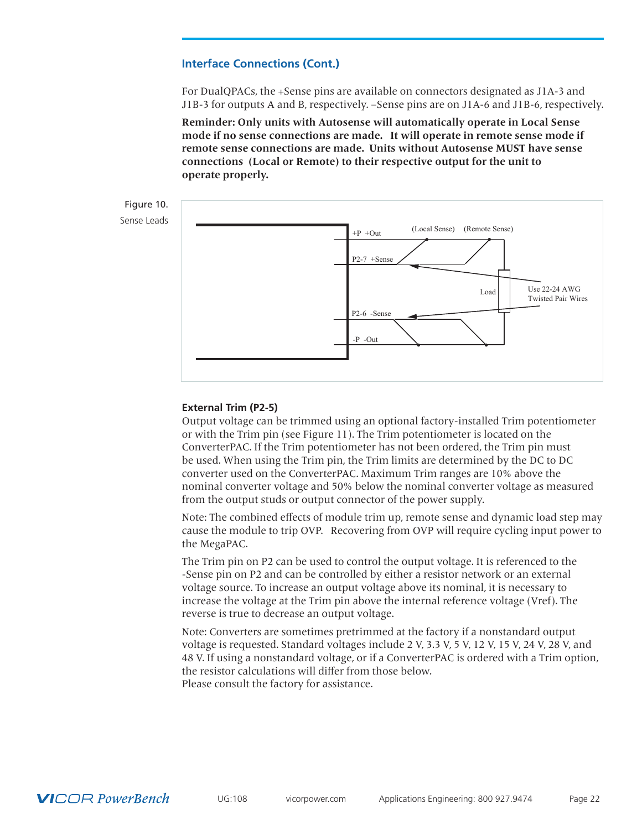For DualQPACs, the +Sense pins are available on connectors designated as J1A-3 and J1B-3 for outputs A and B, respectively. –Sense pins are on J1A-6 and J1B-6, respectively.

**Reminder: Only units with Autosense will automatically operate in Local Sense mode if no sense connections are made. It will operate in remote sense mode if remote sense connections are made. Units without Autosense MUST have sense connections (Local or Remote) to their respective output for the unit to operate properly.** 



#### **External Trim (P2-5)**

Output voltage can be trimmed using an optional factory-installed Trim potentiometer or with the Trim pin (see Figure 11). The Trim potentiometer is located on the ConverterPAC. If the Trim potentiometer has not been ordered, the Trim pin must be used. When using the Trim pin, the Trim limits are determined by the DC to DC converter used on the ConverterPAC. Maximum Trim ranges are 10% above the nominal converter voltage and 50% below the nominal converter voltage as measured from the output studs or output connector of the power supply.

Note: The combined effects of module trim up, remote sense and dynamic load step may cause the module to trip OVP. Recovering from OVP will require cycling input power to the MegaPAC.

The Trim pin on P2 can be used to control the output voltage. It is referenced to the -Sense pin on P2 and can be controlled by either a resistor network or an external voltage source. To increase an output voltage above its nominal, it is necessary to increase the voltage at the Trim pin above the internal reference voltage (Vref). The reverse is true to decrease an output voltage.

Note: Converters are sometimes pretrimmed at the factory if a nonstandard output voltage is requested. Standard voltages include 2 V, 3.3 V, 5 V, 12 V, 15 V, 24 V, 28 V, and 48 V. If using a nonstandard voltage, or if a ConverterPAC is ordered with a Trim option, the resistor calculations will differ from those below. Please consult the factory for assistance.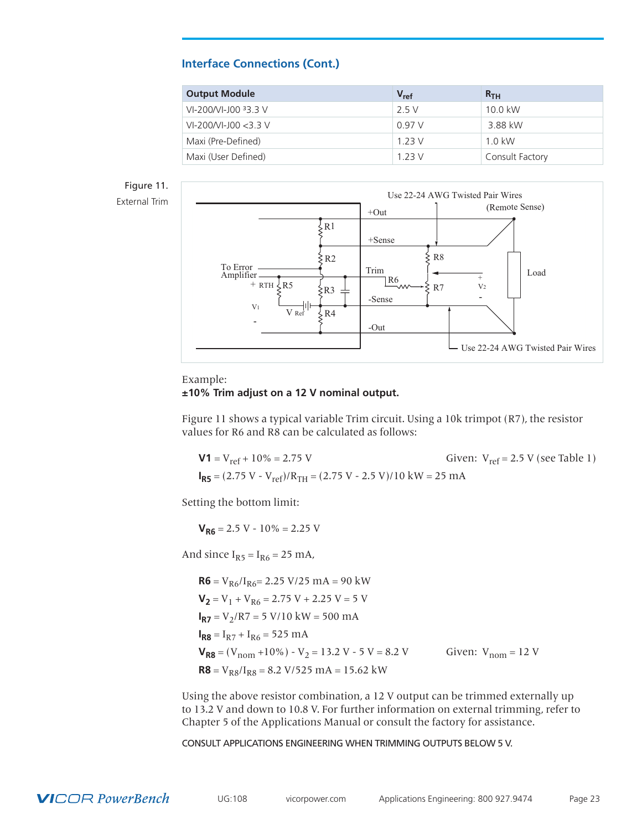<span id="page-22-0"></span>

| <b>Output Module</b>    | $V_{ref}$ | R <sub>TH</sub> |
|-------------------------|-----------|-----------------|
| VI-200/VI-J00 33.3 V    | 2.5V      | 10.0 kW         |
| $VI-200/VI-100 < 3.3 V$ | 0.97 V    | 3.88 kW         |
| Maxi (Pre-Defined)      | 1 2 3 V   | $1.0$ kW        |
| Maxi (User Defined)     | 1 2 3 V   | Consult Factory |

# Figure 11.



#### Example:

#### **±10% Trim adjust on a 12 V nominal output.**

Figure 11 shows a typical variable Trim circuit. Using a 10k trimpot (R7), the resistor values for R6 and R8 can be calculated as follows:

**V1** =  $V_{ref}$  + 10% = 2.75 V Given:  $V_{ref}$  = 2.5 V (see Table 1)  $I_{RS} = (2.75 \text{ V} - \text{V}_{ref})/R_{TH} = (2.75 \text{ V} - 2.5 \text{ V})/10 \text{ kW} = 25 \text{ mA}$ 

Setting the bottom limit:

 $V_{R6}$  = 2.5 V - 10% = 2.25 V

And since  $I_{R5} = I_{R6} = 25$  mA,

 $R6 = V_{R6}/I_{R6} = 2.25 V/25 mA = 90 kW$  $V_2$  = V<sub>1</sub> + V<sub>R6</sub> = 2.75 V + 2.25 V = 5 V  $I_{R7}$  = V<sub>2</sub>/R7 = 5 V/10 kW = 500 mA  $I_{RB} = I_{R7} + I_{R6} = 525 \text{ mA}$  $V_{R8} = (V_{nom} + 10\%) - V_2 = 13.2 V - 5 V = 8.2 V$  Given:  $V_{nom} = 12 V$  $R8 = V_{R8}/I_{R8} = 8.2 \text{ V}/525 \text{ mA} = 15.62 \text{ kW}$ 

Using the above resistor combination, a 12 V output can be trimmed externally up to 13.2 V and down to 10.8 V. For further information on external trimming, refer to Chapter 5 of the Applications Manual or consult the factory for assistance.

CONSULT APPLICATIONS ENGINEERING WHEN TRIMMING OUTPUTS BELOW 5 V.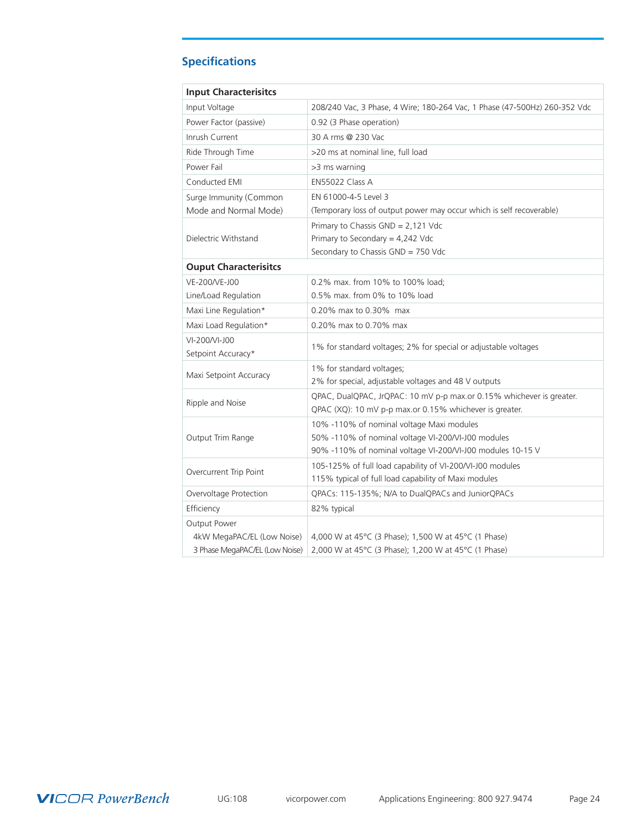# **Specifications**

| <b>Input Characterisitcs</b>   |                                                                           |
|--------------------------------|---------------------------------------------------------------------------|
| Input Voltage                  | 208/240 Vac, 3 Phase, 4 Wire; 180-264 Vac, 1 Phase (47-500Hz) 260-352 Vdc |
| Power Factor (passive)         | 0.92 (3 Phase operation)                                                  |
| Inrush Current                 | 30 A rms @ 230 Vac                                                        |
| Ride Through Time              | >20 ms at nominal line, full load                                         |
| Power Fail                     | >3 ms warning                                                             |
| Conducted EMI                  | EN55022 Class A                                                           |
| Surge Immunity (Common         | EN 61000-4-5 Level 3                                                      |
| Mode and Normal Mode)          | (Temporary loss of output power may occur which is self recoverable)      |
|                                | Primary to Chassis $GND = 2,121$ Vdc                                      |
| Dielectric Withstand           | Primary to Secondary = 4,242 Vdc                                          |
|                                | Secondary to Chassis GND = 750 Vdc                                        |
| <b>Ouput Characterisitcs</b>   |                                                                           |
| VE-200/VE-J00                  | 0.2% max. from 10% to 100% load;                                          |
| Line/Load Regulation           | 0.5% max. from 0% to 10% load                                             |
| Maxi Line Regulation*          | 0.20% max to 0.30% max                                                    |
| Maxi Load Regulation*          | 0.20% max to 0.70% max                                                    |
| VI-200/VI-J00                  | 1% for standard voltages; 2% for special or adjustable voltages           |
| Setpoint Accuracy*             |                                                                           |
| Maxi Setpoint Accuracy         | 1% for standard voltages;                                                 |
|                                | 2% for special, adjustable voltages and 48 V outputs                      |
| Ripple and Noise               | QPAC, DualQPAC, JrQPAC: 10 mV p-p max.or 0.15% whichever is greater.      |
|                                | QPAC (XQ): 10 mV p-p max.or 0.15% whichever is greater.                   |
|                                | 10% -110% of nominal voltage Maxi modules                                 |
| Output Trim Range              | 50% -110% of nominal voltage VI-200/VI-J00 modules                        |
|                                | 90% -110% of nominal voltage VI-200/VI-J00 modules 10-15 V                |
| Overcurrent Trip Point         | 105-125% of full load capability of VI-200/VI-J00 modules                 |
|                                | 115% typical of full load capability of Maxi modules                      |
| Overvoltage Protection         | QPACs: 115-135%; N/A to DualQPACs and JuniorQPACs                         |
| Efficiency                     | 82% typical                                                               |
| Output Power                   |                                                                           |
| 4kW MegaPAC/EL (Low Noise)     | 4,000 W at 45°C (3 Phase); 1,500 W at 45°C (1 Phase)                      |
| 3 Phase MegaPAC/EL (Low Noise) | 2,000 W at 45°C (3 Phase); 1,200 W at 45°C (1 Phase)                      |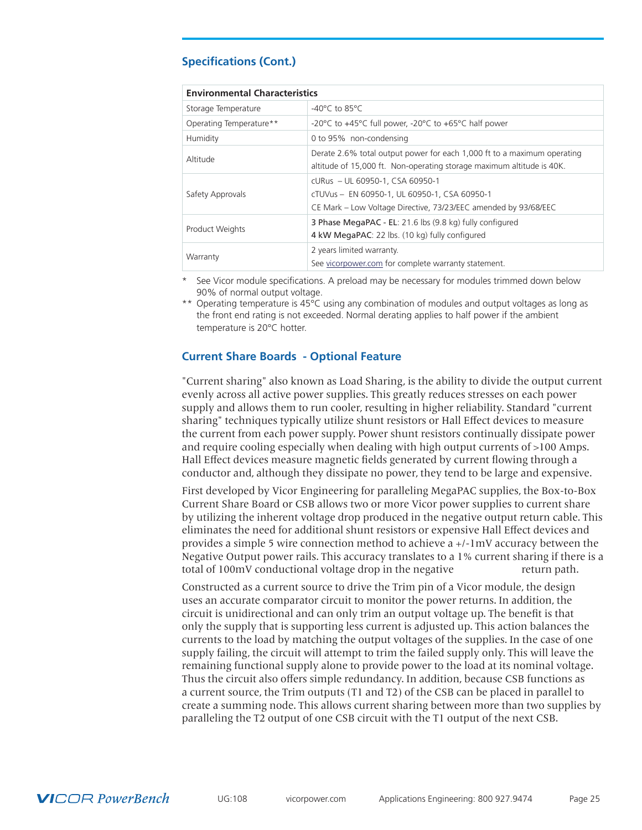## <span id="page-24-0"></span>**Specifications (Cont.)**

| <b>Environmental Characteristics</b> |                                                                                                                                                    |  |  |  |
|--------------------------------------|----------------------------------------------------------------------------------------------------------------------------------------------------|--|--|--|
| Storage Temperature                  | $-40^{\circ}$ C to 85 $^{\circ}$ C                                                                                                                 |  |  |  |
| Operating Temperature**              | -20 $\degree$ C to +45 $\degree$ C full power, -20 $\degree$ C to +65 $\degree$ C half power                                                       |  |  |  |
| Humidity                             | 0 to 95% non-condensing                                                                                                                            |  |  |  |
| Altitude                             | Derate 2.6% total output power for each 1,000 ft to a maximum operating<br>altitude of 15,000 ft. Non-operating storage maximum altitude is 40K.   |  |  |  |
| Safety Approvals                     | cURus - UL 60950-1, CSA 60950-1<br>cTUVus - EN 60950-1, UL 60950-1, CSA 60950-1<br>CE Mark - Low Voltage Directive, 73/23/EEC amended by 93/68/EEC |  |  |  |
| Product Weights                      | 3 Phase MegaPAC - EL: 21.6 lbs (9.8 kg) fully configured<br>4 kW MegaPAC: 22 lbs. (10 kg) fully configured                                         |  |  |  |
| Warranty                             | 2 years limited warranty.<br>See vicorpower.com for complete warranty statement.                                                                   |  |  |  |

\* See Vicor module specifications. A preload may be necessary for modules trimmed down below 90% of normal output voltage.

\*\* Operating temperature is 45°C using any combination of modules and output voltages as long as the front end rating is not exceeded. Normal derating applies to half power if the ambient temperature is 20°C hotter.

## **Current Share Boards - Optional Feature**

"Current sharing" also known as Load Sharing, is the ability to divide the output current evenly across all active power supplies. This greatly reduces stresses on each power supply and allows them to run cooler, resulting in higher reliability. Standard "current sharing" techniques typically utilize shunt resistors or Hall Effect devices to measure the current from each power supply. Power shunt resistors continually dissipate power and require cooling especially when dealing with high output currents of >100 Amps. Hall Effect devices measure magnetic fields generated by current flowing through a conductor and, although they dissipate no power, they tend to be large and expensive.

First developed by Vicor Engineering for paralleling MegaPAC supplies, the Box-to-Box Current Share Board or CSB allows two or more Vicor power supplies to current share by utilizing the inherent voltage drop produced in the negative output return cable. This eliminates the need for additional shunt resistors or expensive Hall Effect devices and provides a simple 5 wire connection method to achieve a +/-1mV accuracy between the Negative Output power rails. This accuracy translates to a 1% current sharing if there is a total of 100mV conductional voltage drop in the negative return path.

Constructed as a current source to drive the Trim pin of a Vicor module, the design uses an accurate comparator circuit to monitor the power returns. In addition, the circuit is unidirectional and can only trim an output voltage up. The benefit is that only the supply that is supporting less current is adjusted up. This action balances the currents to the load by matching the output voltages of the supplies. In the case of one supply failing, the circuit will attempt to trim the failed supply only. This will leave the remaining functional supply alone to provide power to the load at its nominal voltage. Thus the circuit also offers simple redundancy. In addition, because CSB functions as a current source, the Trim outputs (T1 and T2) of the CSB can be placed in parallel to create a summing node. This allows current sharing between more than two supplies by paralleling the T2 output of one CSB circuit with the T1 output of the next CSB.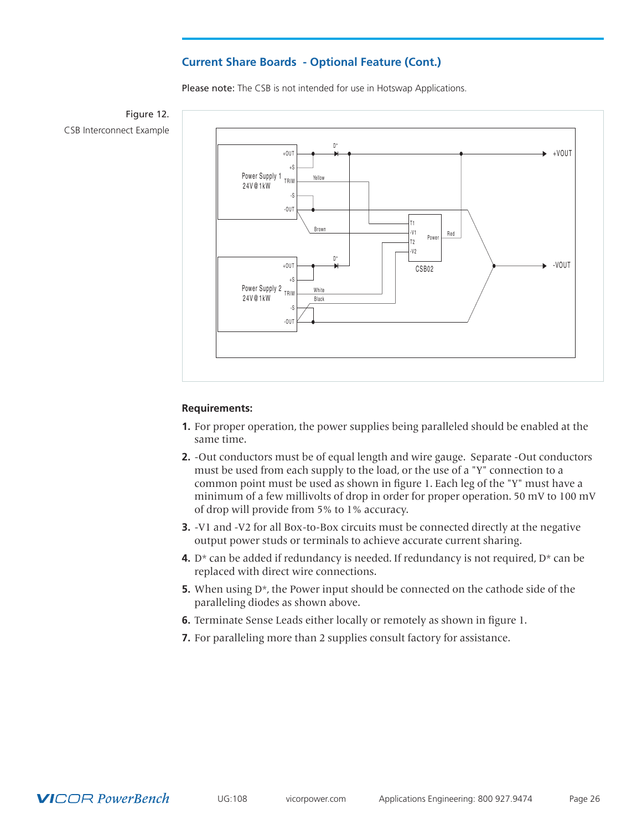## **Current Share Boards - Optional Feature (Cont.)**

Please note: The CSB is not intended for use in Hotswap Applications.





#### **Requirements:**

- **1.** For proper operation, the power supplies being paralleled should be enabled at the same time.
- **2.** -Out conductors must be of equal length and wire gauge. Separate -Out conductors must be used from each supply to the load, or the use of a "Y" connection to a common point must be used as shown in figure 1. Each leg of the "Y" must have a minimum of a few millivolts of drop in order for proper operation. 50 mV to 100 mV of drop will provide from 5% to 1% accuracy.
- **3.** -V1 and -V2 for all Box-to-Box circuits must be connected directly at the negative output power studs or terminals to achieve accurate current sharing.
- **4.** D<sup>\*</sup> can be added if redundancy is needed. If redundancy is not required,  $D^*$  can be replaced with direct wire connections.
- **5.** When using  $D^*$ , the Power input should be connected on the cathode side of the paralleling diodes as shown above.
- **6.** Terminate Sense Leads either locally or remotely as shown in figure 1.
- **7.** For paralleling more than 2 supplies consult factory for assistance.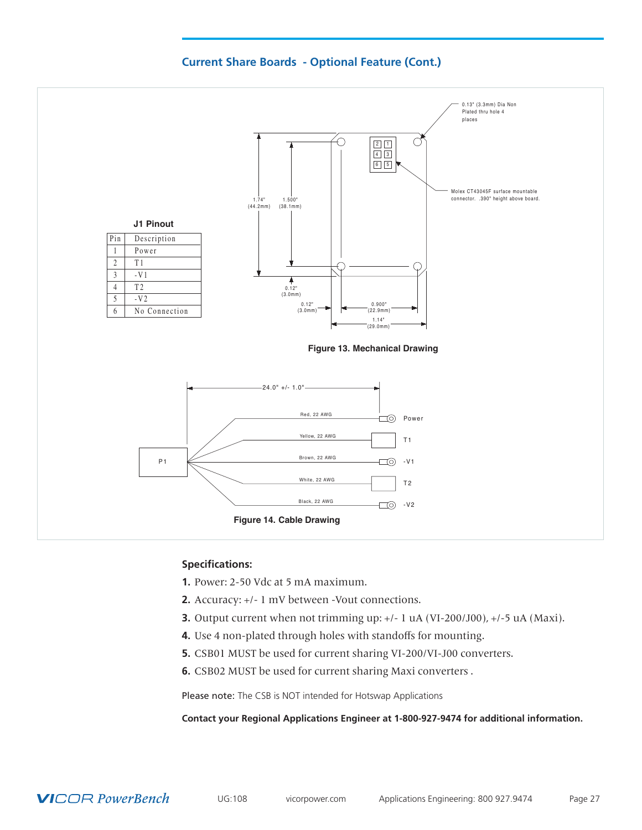



## **Specifications:**

- **1.** Power: 2-50 Vdc at 5 mA maximum.
- **2.** Accuracy: +/- 1 mV between -Vout connections.
- **3.** Output current when not trimming up: +/- 1 uA (VI-200/J00), +/-5 uA (Maxi).
- **4.** Use 4 non-plated through holes with standoffs for mounting.
- **5.** CSB01 MUST be used for current sharing VI-200/VI-J00 converters.
- **6.** CSB02 MUST be used for current sharing Maxi converters .

Please note: The CSB is NOT intended for Hotswap Applications

**Contact your Regional Applications Engineer at 1-800-927-9474 for additional information.**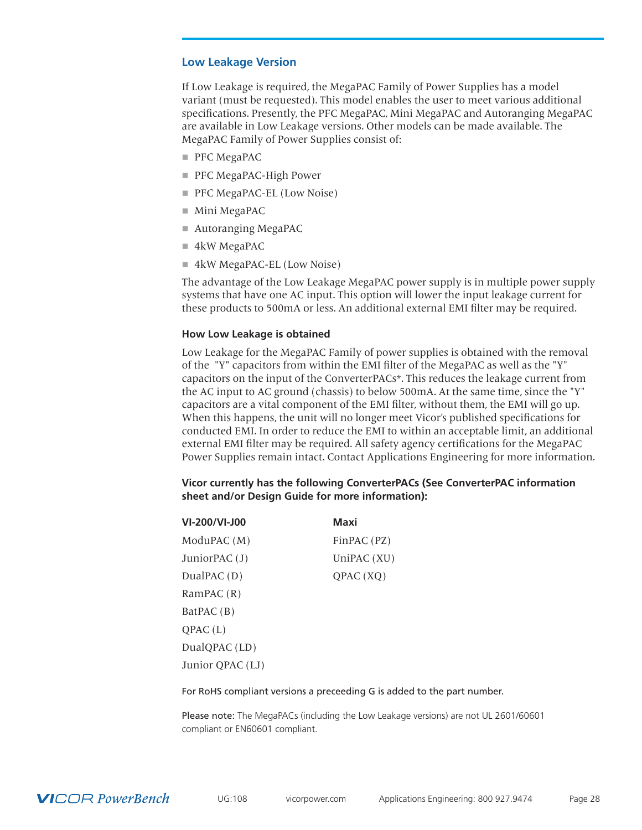## <span id="page-27-0"></span>**Low Leakage Version**

If Low Leakage is required, the MegaPAC Family of Power Supplies has a model variant (must be requested). This model enables the user to meet various additional specifications. Presently, the PFC MegaPAC, Mini MegaPAC and Autoranging MegaPAC are available in Low Leakage versions. Other models can be made available. The MegaPAC Family of Power Supplies consist of:

- $\blacksquare$  PFC MegaPAC
- PFC MegaPAC-High Power
- **PFC MegaPAC-EL (Low Noise)**
- $\blacksquare$  Mini MegaPAC
- $\blacksquare$  Autoranging MegaPAC
- $\blacksquare$  4kW MegaPAC
- 4kW MegaPAC-EL (Low Noise)

The advantage of the Low Leakage MegaPAC power supply is in multiple power supply systems that have one AC input. This option will lower the input leakage current for these products to 500mA or less. An additional external EMI filter may be required.

## **How Low Leakage is obtained**

Low Leakage for the MegaPAC Family of power supplies is obtained with the removal of the "Y" capacitors from within the EMI filter of the MegaPAC as well as the "Y" capacitors on the input of the ConverterPACs\*. This reduces the leakage current from the AC input to AC ground (chassis) to below 500mA. At the same time, since the "Y" capacitors are a vital component of the EMI filter, without them, the EMI will go up. When this happens, the unit will no longer meet Vicor's published specifications for conducted EMI. In order to reduce the EMI to within an acceptable limit, an additional external EMI filter may be required. All safety agency certifications for the MegaPAC Power Supplies remain intact. Contact Applications Engineering for more information.

## **Vicor currently has the following ConverterPACs (See ConverterPAC information sheet and/or Design Guide for more information):**

| VI-200/VI-J00    | <b>Maxi</b> |
|------------------|-------------|
| ModuPAC (M)      | FinPAC (PZ) |
| JuniorPAC (J)    | UniPAC (XU) |
| DualPAC(D)       | QPAC(XQ)    |
| RamPAC $(R)$     |             |
| BatPAC (B)       |             |
| OPAC(L)          |             |
| DualQPAC (LD)    |             |
| Junior QPAC (LJ) |             |

For RoHS compliant versions a preceeding G is added to the part number.

Please note: The MegaPACs (including the Low Leakage versions) are not UL 2601/60601 compliant or EN60601 compliant.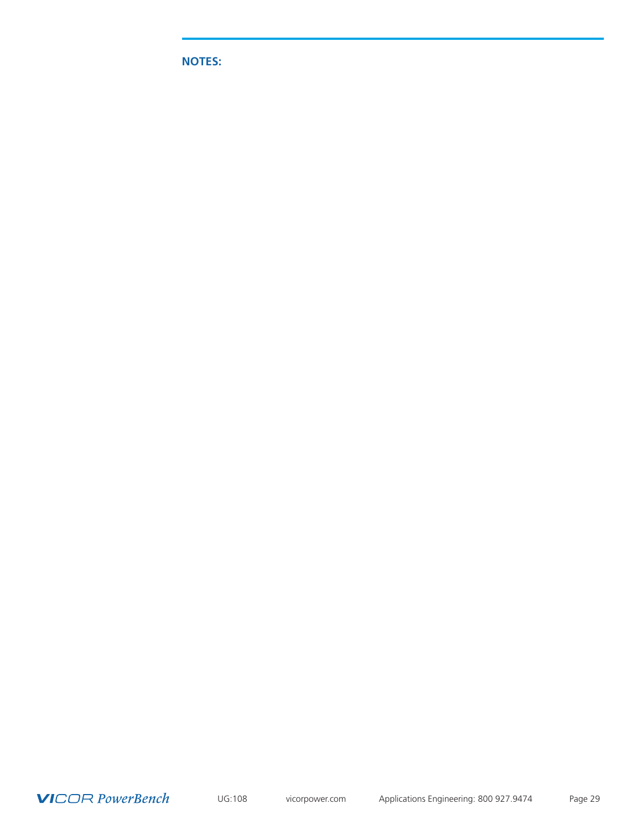**NOTES:**